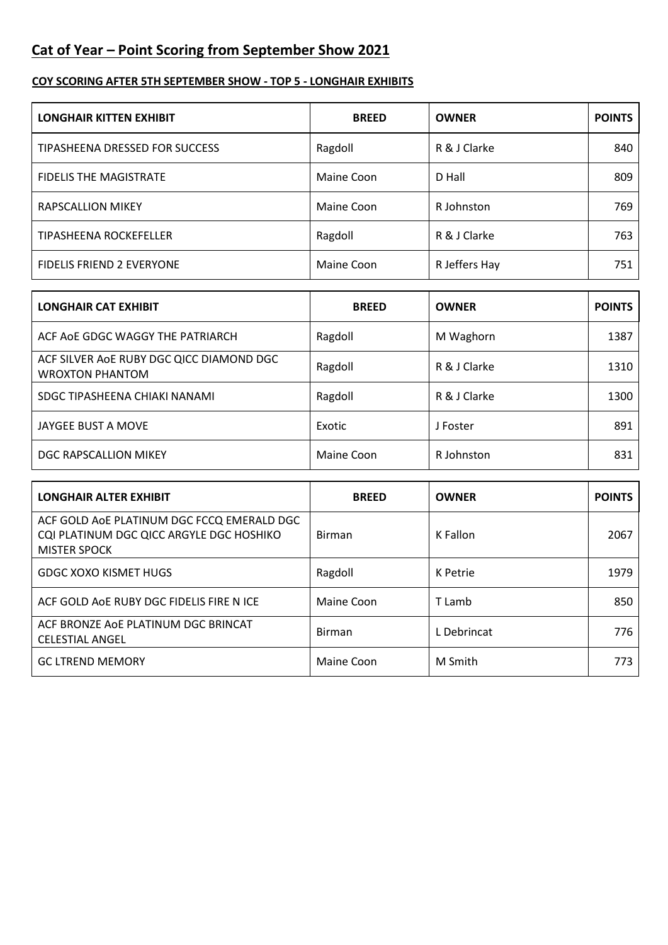## **Cat of Year – Point Scoring from September Show 2021**

## **COY SCORING AFTER 5TH SEPTEMBER SHOW - TOP 5 - LONGHAIR EXHIBITS**

| <b>LONGHAIR KITTEN EXHIBIT</b>   | <b>BREED</b> | <b>OWNER</b>  | <b>POINTS</b> |
|----------------------------------|--------------|---------------|---------------|
| TIPASHEENA DRESSED FOR SUCCESS   | Ragdoll      | R & J Clarke  | 840           |
| <b>FIDELIS THE MAGISTRATE</b>    | Maine Coon   | D Hall        | 809           |
| RAPSCALLION MIKEY                | Maine Coon   | R Johnston    | 769           |
| <b>TIPASHEENA ROCKEFELLER</b>    | Ragdoll      | R & J Clarke  | 763           |
| <b>FIDELIS FRIEND 2 EVERYONE</b> | Maine Coon   | R Jeffers Hay | 751           |

| <b>LONGHAIR CAT EXHIBIT</b>                                        | <b>BREED</b> | <b>OWNER</b> | <b>POINTS</b> |
|--------------------------------------------------------------------|--------------|--------------|---------------|
| ACF AOE GDGC WAGGY THE PATRIARCH                                   | Ragdoll      | M Waghorn    | 1387          |
| ACF SILVER AOE RUBY DGC QICC DIAMOND DGC<br><b>WROXTON PHANTOM</b> | Ragdoll      | R & J Clarke | 1310          |
| SDGC TIPASHEENA CHIAKI NANAMI                                      | Ragdoll      | R & J Clarke | 1300          |
| JAYGEE BUST A MOVE                                                 | Exotic       | J Foster     | 891           |
| DGC RAPSCALLION MIKEY                                              | Maine Coon   | R Johnston   | 831           |

| <b>LONGHAIR ALTER EXHIBIT</b>                                                                                 | <b>BREED</b>  | <b>OWNER</b> | <b>POINTS</b> |
|---------------------------------------------------------------------------------------------------------------|---------------|--------------|---------------|
| ACF GOLD AOE PLATINUM DGC FCCQ EMERALD DGC<br>CQI PLATINUM DGC QICC ARGYLE DGC HOSHIKO<br><b>MISTER SPOCK</b> | <b>Birman</b> | K Fallon     | 2067          |
| <b>GDGC XOXO KISMET HUGS</b>                                                                                  | Ragdoll       | K Petrie     | 1979          |
| ACF GOLD AOE RUBY DGC FIDELIS FIRE N ICE                                                                      | Maine Coon    | T Lamb       | 850           |
| ACF BRONZE AOE PLATINUM DGC BRINCAT<br><b>CELESTIAL ANGEL</b>                                                 | <b>Birman</b> | L Debrincat  | 776           |
| <b>GC LTREND MEMORY</b>                                                                                       | Maine Coon    | M Smith      | 773.          |